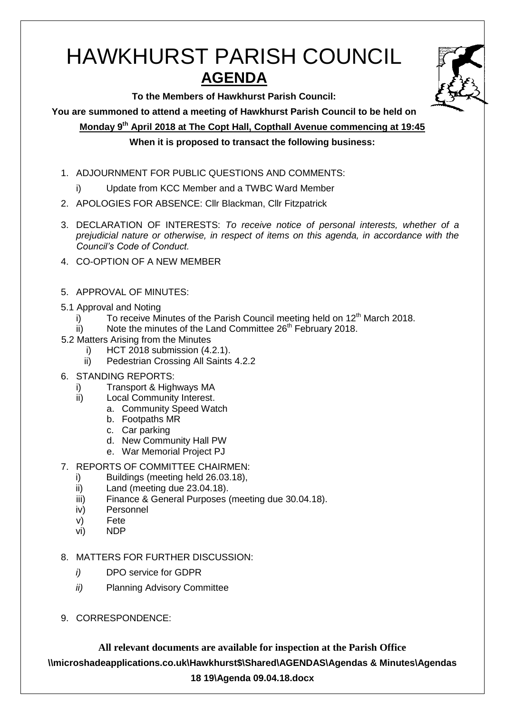# HAWKHURST PARISH COUNCIL **AGENDA**

**To the Members of Hawkhurst Parish Council:**

**You are summoned to attend a meeting of Hawkhurst Parish Council to be held on**

**Monday 9th April 2018 at The Copt Hall, Copthall Avenue commencing at 19:45**

## **When it is proposed to transact the following business:**

- 1. ADJOURNMENT FOR PUBLIC QUESTIONS AND COMMENTS:
	- i) Update from KCC Member and a TWBC Ward Member
- 2. APOLOGIES FOR ABSENCE: Cllr Blackman, Cllr Fitzpatrick
- 3. DECLARATION OF INTERESTS: *To receive notice of personal interests, whether of a prejudicial nature or otherwise, in respect of items on this agenda, in accordance with the Council's Code of Conduct.*
- 4. CO-OPTION OF A NEW MEMBER
- 5. APPROVAL OF MINUTES:
- 5.1 Approval and Noting
	- i) To receive Minutes of the Parish Council meeting held on  $12<sup>th</sup>$  March 2018.
	- $\overline{\text{ii}}$  Note the minutes of the Land Committee 26<sup>th</sup> February 2018.
- 5.2 Matters Arising from the Minutes
	- i) HCT 2018 submission (4.2.1).
	- ii) Pedestrian Crossing All Saints 4.2.2
- 6. STANDING REPORTS:
	- i) Transport & Highways MA
	- ii) Local Community Interest.
		- a. Community Speed Watch
			- b. Footpaths MR
			- c. Car parking
			- d. New Community Hall PW
			- e. War Memorial Project PJ
- 7. REPORTS OF COMMITTEE CHAIRMEN:
	- i) Buildings (meeting held 26.03.18),
	- ii) Land (meeting due 23.04.18).
	- iii) Finance & General Purposes (meeting due 30.04.18).
	- iv) Personnel
	- v) Fete
	- vi) NDP
- 8. MATTERS FOR FURTHER DISCUSSION:
	- *i)* DPO service for GDPR
	- *ii)* Planning Advisory Committee
- 9. CORRESPONDENCE:

**All relevant documents are available for inspection at the Parish Office \\microshadeapplications.co.uk\Hawkhurst\$\Shared\AGENDAS\Agendas & Minutes\Agendas 18 19\Agenda 09.04.18.docx**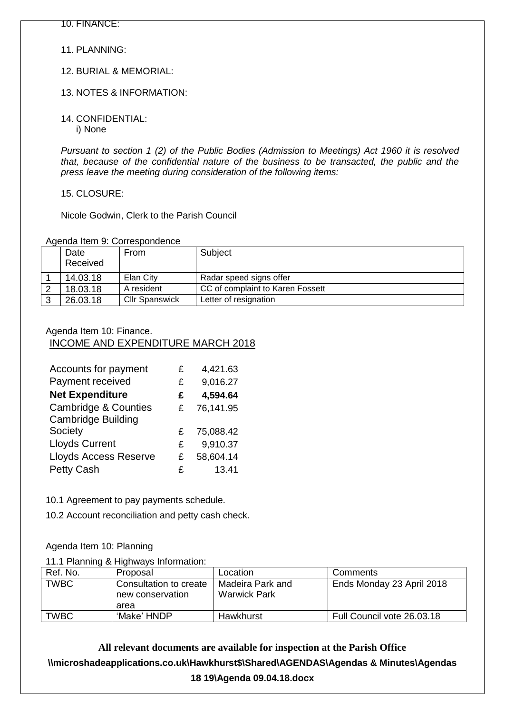11. PLANNING:

12. BURIAL & MEMORIAL:

13. NOTES & INFORMATION:

14. CONFIDENTIAL: i) None

*Pursuant to section 1 (2) of the Public Bodies (Admission to Meetings) Act 1960 it is resolved that, because of the confidential nature of the business to be transacted, the public and the press leave the meeting during consideration of the following items:*

15. CLOSURE:

Nicole Godwin, Clerk to the Parish Council

Agenda Item 9: Correspondence

| Date<br>Received | From                  | Subject                          |
|------------------|-----------------------|----------------------------------|
| 14.03.18         | Elan City             | Radar speed signs offer          |
| 18.03.18         | A resident            | CC of complaint to Karen Fossett |
| 26.03.18         | <b>Cllr Spanswick</b> | Letter of resignation            |

#### Agenda Item 10: Finance.

INCOME AND EXPENDITURE MARCH 2018

| Accounts for payment                                         | £ | 4,421.63  |
|--------------------------------------------------------------|---|-----------|
| Payment received                                             | £ | 9,016.27  |
| <b>Net Expenditure</b>                                       | £ | 4,594.64  |
| <b>Cambridge &amp; Counties</b><br><b>Cambridge Building</b> | £ | 76,141.95 |
| Society                                                      | £ | 75,088.42 |
| <b>Lloyds Current</b>                                        | £ | 9,910.37  |
| <b>Lloyds Access Reserve</b>                                 | £ | 58,604.14 |
| <b>Petty Cash</b>                                            | £ | 13.41     |

10.1 Agreement to pay payments schedule.

10.2 Account reconciliation and petty cash check.

Agenda Item 10: Planning

11.1 Planning & Highways Information:

| Ref. No.    | Proposal                                           | Location                                | Comments                   |
|-------------|----------------------------------------------------|-----------------------------------------|----------------------------|
| TWBC        | Consultation to create<br>new conservation<br>area | Madeira Park and<br><b>Warwick Park</b> | Ends Monday 23 April 2018  |
| <b>TWBC</b> | 'Make' HNDP                                        | Hawkhurst                               | Full Council vote 26.03.18 |

**All relevant documents are available for inspection at the Parish Office \\microshadeapplications.co.uk\Hawkhurst\$\Shared\AGENDAS\Agendas & Minutes\Agendas 18 19\Agenda 09.04.18.docx**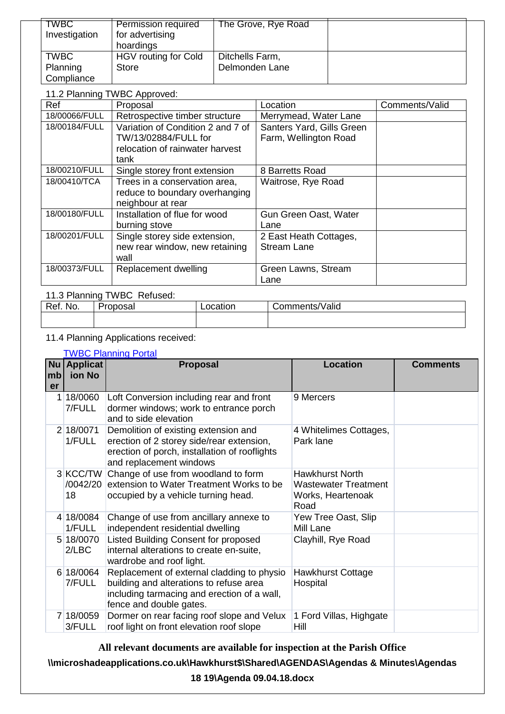| <b>TWBC</b><br>Investigation | <b>Permission required</b><br>for advertising<br>hoardings | The Grove, Rye Road |  |
|------------------------------|------------------------------------------------------------|---------------------|--|
| <b>TWBC</b>                  | HGV routing for Cold                                       | Ditchells Farm,     |  |
| Planning                     | Store                                                      | Delmonden Lane      |  |
| Compliance                   |                                                            |                     |  |

#### 11.2 Planning TWBC Approved:

| Ref           | Proposal                                                                                             | Location                                           | Comments/Valid |
|---------------|------------------------------------------------------------------------------------------------------|----------------------------------------------------|----------------|
| 18/00066/FULL | Retrospective timber structure                                                                       | Merrymead, Water Lane                              |                |
| 18/00184/FULL | Variation of Condition 2 and 7 of<br>TW/13/02884/FULL for<br>relocation of rainwater harvest<br>tank | Santers Yard, Gills Green<br>Farm, Wellington Road |                |
| 18/00210/FULL | Single storey front extension                                                                        | 8 Barretts Road                                    |                |
| 18/00410/TCA  | Trees in a conservation area,<br>reduce to boundary overhanging<br>neighbour at rear                 | Waitrose, Rye Road                                 |                |
| 18/00180/FULL | Installation of flue for wood<br>burning stove                                                       | Gun Green Oast, Water<br>Lane                      |                |
| 18/00201/FULL | Single storey side extension,<br>new rear window, new retaining<br>wall                              | 2 East Heath Cottages,<br><b>Stream Lane</b>       |                |
| 18/00373/FULL | Replacement dwelling                                                                                 | Green Lawns, Stream<br>Lane                        |                |

# 11.3 Planning TWBC Refused:

| Ref.<br>NO. | Dranacal<br>vusal | ∟ocatıon | Comments/Valid |
|-------------|-------------------|----------|----------------|
|             |                   |          |                |

# 11.4 Planning Applications received:

## [TWBC Planning Portal](http://www.tunbridgewells.gov.uk/residents/planning/planning-application-search)

| mb<br>er | $Nu$ Applicat<br>ion No | <b>Proposal</b>                                                                                                                                                 | <b>Location</b>                                                             | <b>Comments</b> |
|----------|-------------------------|-----------------------------------------------------------------------------------------------------------------------------------------------------------------|-----------------------------------------------------------------------------|-----------------|
| 1        | 18/0060<br>7/FULL       | Loft Conversion including rear and front<br>dormer windows; work to entrance porch<br>and to side elevation                                                     | 9 Mercers                                                                   |                 |
|          | 2 18/0071<br>1/FULL     | Demolition of existing extension and<br>erection of 2 storey side/rear extension,<br>erection of porch, installation of rooflights<br>and replacement windows   | 4 Whitelimes Cottages,<br>Park lane                                         |                 |
|          | 18                      | 3 KCC/TW Change of use from woodland to form<br>/0042/20 extension to Water Treatment Works to be<br>occupied by a vehicle turning head.                        | <b>Hawkhurst North</b><br>Wastewater Treatment<br>Works, Heartenoak<br>Road |                 |
|          | 4 18/0084<br>1/FULL     | Change of use from ancillary annexe to<br>independent residential dwelling                                                                                      | Yew Tree Oast, Slip<br>Mill Lane                                            |                 |
|          | 5 18/0070<br>2/LBC      | Listed Building Consent for proposed<br>internal alterations to create en-suite,<br>wardrobe and roof light.                                                    | Clayhill, Rye Road                                                          |                 |
|          | 6 18/0064<br>7/FULL     | Replacement of external cladding to physio<br>building and alterations to refuse area<br>including tarmacing and erection of a wall,<br>fence and double gates. | <b>Hawkhurst Cottage</b><br>Hospital                                        |                 |
|          | 7 18/0059<br>3/FULL     | Dormer on rear facing roof slope and Velux<br>roof light on front elevation roof slope                                                                          | 1 Ford Villas, Highgate<br>Hill                                             |                 |

**All relevant documents are available for inspection at the Parish Office**

**\\microshadeapplications.co.uk\Hawkhurst\$\Shared\AGENDAS\Agendas & Minutes\Agendas** 

## **18 19\Agenda 09.04.18.docx**